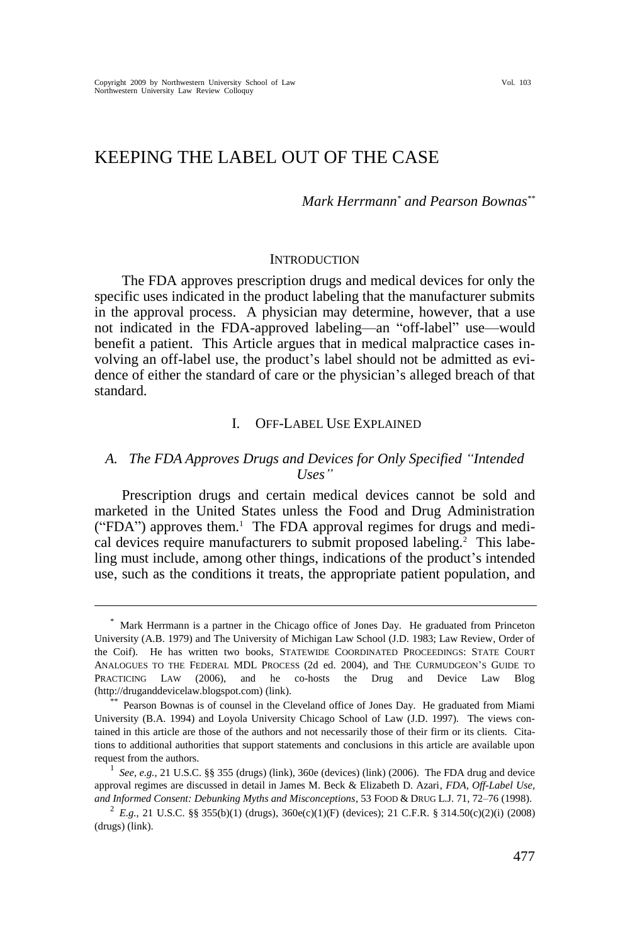# KEEPING THE LABEL OUT OF THE CASE

*Mark Herrmann\* and Pearson Bownas\*\**

#### **INTRODUCTION**

The FDA approves prescription drugs and medical devices for only the specific uses indicated in the product labeling that the manufacturer submits in the approval process. A physician may determine, however, that a use not indicated in the FDA-approved labeling—an "off-label" use—would benefit a patient. This Article argues that in medical malpractice cases involving an off-label use, the product's label should not be admitted as evidence of either the standard of care or the physician's alleged breach of that standard.

# <span id="page-0-0"></span>I. OFF-LABEL USE EXPLAINED

# *A. The FDA Approves Drugs and Devices for Only Specified "Intended Uses"*

Prescription drugs and certain medical devices cannot be sold and marketed in the United States unless the Food and Drug Administration ("FDA") approves them.<sup>1</sup> The FDA approval regimes for drugs and medical devices require manufacturers to submit proposed labeling.<sup>2</sup> This labeling must include, among other things, indications of the product's intended use, such as the conditions it treats, the appropriate patient population, and

<sup>\*</sup> Mark Herrmann is a partner in the Chicago office of Jones Day. He graduated from Princeton University (A.B. 1979) and The University of Michigan Law School (J.D. 1983; Law Review, Order of the Coif). He has written two books, STATEWIDE COORDINATED PROCEEDINGS: STATE COURT ANALOGUES TO THE FEDERAL MDL PROCESS (2d ed. 2004), and THE CURMUDGEON'S GUIDE TO PRACTICING LAW (2006), and he co-hosts the Drug and Device Law Blog (http://druganddevicelaw.blogspot.com) [\(link\)](http://druganddevicelaw.blogspot.com/).

<sup>\*\*</sup> Pearson Bownas is of counsel in the Cleveland office of Jones Day. He graduated from Miami University (B.A. 1994) and Loyola University Chicago School of Law (J.D. 1997). The views contained in this article are those of the authors and not necessarily those of their firm or its clients. Citations to additional authorities that support statements and conclusions in this article are available upon request from the authors.

<sup>&</sup>lt;sup>1</sup> See, e.g., 21 U.S.C. §§ 355 (drugs) [\(link\)](http://www4.law.cornell.edu/uscode/uscode21/usc_sec_21_00000360---e000-.html), 360e (devices) (link) (2006). The FDA drug and device approval regimes are discussed in detail in James M. Beck & Elizabeth D. Azari, *FDA, Off-Label Use, and Informed Consent: Debunking Myths and Misconceptions*, 53 FOOD & DRUG L.J. 71, 72–76 (1998).

<sup>&</sup>lt;sup>2</sup> E.g., 21 U.S.C. §§ 355(b)(1) (drugs), 360e(c)(1)(F) (devices); 21 C.F.R. § 314.50(c)(2)(i) (2008) (drugs) [\(link\)](http://edocket.access.gpo.gov/cfr_2008/aprqtr/pdf/21cfr314.50.pdf).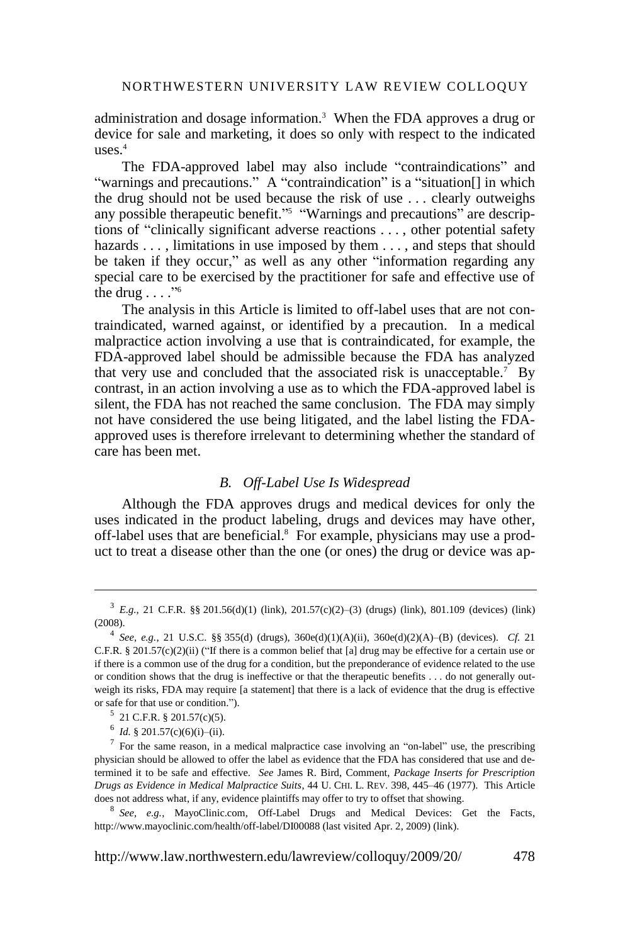administration and dosage information.<sup>3</sup> When the FDA approves a drug or device for sale and marketing, it does so only with respect to the indicated uses. $4$ 

The FDA-approved label may also include "contraindications" and "warnings and precautions." A "contraindication" is a "situation<sup>[]</sup> in which the drug should not be used because the risk of use . . . clearly outweighs any possible therapeutic benefit."<sup>5</sup> "Warnings and precautions" are descriptions of "clinically significant adverse reactions  $\dots$ , other potential safety hazards . . . , limitations in use imposed by them . . . , and steps that should be taken if they occur," as well as any other "information regarding any special care to be exercised by the practitioner for safe and effective use of the drug  $\dots$ ."<sup>6</sup>

The analysis in this Article is limited to off-label uses that are not contraindicated, warned against, or identified by a precaution. In a medical malpractice action involving a use that is contraindicated, for example, the FDA-approved label should be admissible because the FDA has analyzed that very use and concluded that the associated risk is unacceptable.<sup>7</sup> By contrast, in an action involving a use as to which the FDA-approved label is silent, the FDA has not reached the same conclusion. The FDA may simply not have considered the use being litigated, and the label listing the FDAapproved uses is therefore irrelevant to determining whether the standard of care has been met.

# <span id="page-1-0"></span>*B. Off-Label Use Is Widespread*

Although the FDA approves drugs and medical devices for only the uses indicated in the product labeling, drugs and devices may have other, off-label uses that are beneficial.<sup>8</sup> For example, physicians may use a product to treat a disease other than the one (or ones) the drug or device was ap-

 $3\,$  *E.g.*, 21 C.F.R. §§ 201.56(d)(1) [\(link\)](http://edocket.access.gpo.gov/cfr_2008/aprqtr/pdf/21cfr801.109.pdf), 201.57(c)(2)–(3) (drugs) (link), 801.109 (devices) (link) (2008).

<sup>&</sup>lt;sup>4</sup> See, e.g., 21 U.S.C. §§ 355(d) (drugs), 360e(d)(1)(A)(ii), 360e(d)(2)(A)–(B) (devices). *Cf.* 21 C.F.R. § 201.57(c)(2)(ii) ("If there is a common belief that [a] drug may be effective for a certain use or if there is a common use of the drug for a condition, but the preponderance of evidence related to the use or condition shows that the drug is ineffective or that the therapeutic benefits . . . do not generally outweigh its risks, FDA may require [a statement] that there is a lack of evidence that the drug is effective or safe for that use or condition.").

 $5$  21 C.F.R. § 201.57(c)(5).

 $^6$  *Id.* § 201.57(c)(6)(i)–(ii).

<sup>7</sup> For the same reason, in a medical malpractice case involving an "on-label" use, the prescribing physician should be allowed to offer the label as evidence that the FDA has considered that use and determined it to be safe and effective. *See* James R. Bird, Comment, *Package Inserts for Prescription Drugs as Evidence in Medical Malpractice Suits*, 44 U. CHI. L. REV. 398, 445–46 (1977). This Article does not address what, if any, evidence plaintiffs may offer to try to offset that showing.

<sup>8</sup> *See, e.g.*, MayoClinic.com, Off-Label Drugs and Medical Devices: Get the Facts, http://www.mayoclinic.com/health/off-label/DI00088 (last visited Apr. 2, 2009) [\(link\)](http://www.mayoclinic.com/health/off-label/DI00088).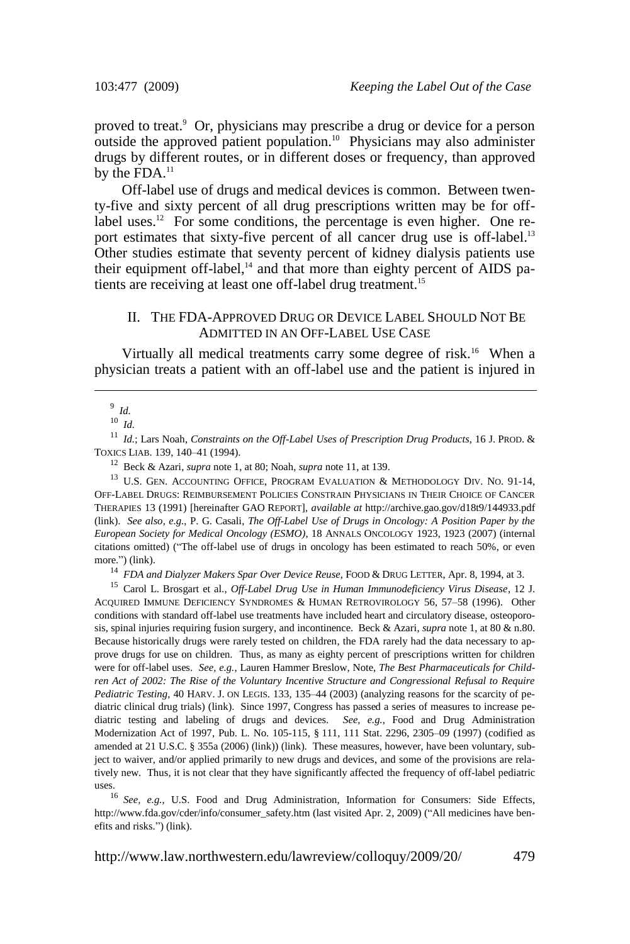proved to treat.<sup>9</sup> Or, physicians may prescribe a drug or device for a person outside the approved patient population.<sup>10</sup> Physicians may also administer drugs by different routes, or in different doses or frequency, than approved by the  $FDA.<sup>11</sup>$ 

<span id="page-2-0"></span>Off-label use of drugs and medical devices is common. Between twenty-five and sixty percent of all drug prescriptions written may be for offlabel uses.<sup>12</sup> For some conditions, the percentage is even higher. One report estimates that sixty-five percent of all cancer drug use is off-label.<sup>13</sup> Other studies estimate that seventy percent of kidney dialysis patients use their equipment off-label,<sup>14</sup> and that more than eighty percent of AIDS patients are receiving at least one off-label drug treatment.<sup>15</sup>

# <span id="page-2-1"></span>II. THE FDA-APPROVED DRUG OR DEVICE LABEL SHOULD NOT BE ADMITTED IN AN OFF-LABEL USE CASE

Virtually all medical treatments carry some degree of risk.<sup>16</sup> When a physician treats a patient with an off-label use and the patient is injured in

11 *Id.*; Lars Noah, *Constraints on the Off-Label Uses of Prescription Drug Products*, 16 J. PROD. & TOXICS LIAB. 139, 140–41 (1994).

12 Beck & Azari, *supra* not[e 1,](#page-0-0) at 80; Noah, *supra* note [11,](#page-2-0) at 139.

 $^{13}$  U.S. GEN. ACCOUNTING OFFICE, PROGRAM EVALUATION & METHODOLOGY DIV. NO. 91-14, OFF-LABEL DRUGS: REIMBURSEMENT POLICIES CONSTRAIN PHYSICIANS IN THEIR CHOICE OF CANCER THERAPIES 13 (1991) [hereinafter GAO REPORT], *available at* http://archive.gao.gov/d18t9/144933.pdf [\(link\)](http://archive.gao.gov/d18t9/144933.pdf). *See also, e.g.*, P. G. Casali, *The Off-Label Use of Drugs in Oncology: A Position Paper by the European Society for Medical Oncology (ESMO)*, 18 ANNALS ONCOLOGY 1923, 1923 (2007) (internal citations omitted) ("The off-label use of drugs in oncology has been estimated to reach 50%, or even more.") [\(link\)](http://annonc.oxfordjournals.org/cgi/reprint/18/12/1923).

14 *FDA and Dialyzer Makers Spar Over Device Reuse*, FOOD & DRUG LETTER, Apr. 8, 1994, at 3.

15 Carol L. Brosgart et al., *Off-Label Drug Use in Human Immunodeficiency Virus Disease*, 12 J. ACQUIRED IMMUNE DEFICIENCY SYNDROMES & HUMAN RETROVIROLOGY 56, 57–58 (1996). Other conditions with standard off-label use treatments have included heart and circulatory disease, osteoporosis, spinal injuries requiring fusion surgery, and incontinence. Beck & Azari, *supra* not[e 1,](#page-0-0) at 80 & n.80. Because historically drugs were rarely tested on children, the FDA rarely had the data necessary to approve drugs for use on children. Thus, as many as eighty percent of prescriptions written for children were for off-label uses. *See, e.g.*, Lauren Hammer Breslow, Note, *The Best Pharmaceuticals for Children Act of 2002: The Rise of the Voluntary Incentive Structure and Congressional Refusal to Require Pediatric Testing*, 40 HARV. J. ON LEGIS. 133, 135–44 (2003) (analyzing reasons for the scarcity of pediatric clinical drug trials) [\(link\)](http://www.law.harvard.edu/students/orgs/jol/vol40_1/hammer-breslow.pdf). Since 1997, Congress has passed a series of measures to increase pediatric testing and labeling of drugs and devices. *See, e.g.*, Food and Drug Administration Modernization Act of 1997, Pub. L. No. 105-115, § 111, 111 Stat. 2296, 2305–09 (1997) (codified as amended at 21 U.S.C. § 355a (2006) [\(link\)](http://www4.law.cornell.edu/uscode/uscode21/usc_sec_21_00000355---a000-.html)) [\(link\)](http://www.fda.gov/CDER/guidance/105-115.htm#SEC.%20111). These measures, however, have been voluntary, subject to waiver, and/or applied primarily to new drugs and devices, and some of the provisions are relatively new. Thus, it is not clear that they have significantly affected the frequency of off-label pediatric uses.

16 *See, e.g.*, U.S. Food and Drug Administration, Information for Consumers: Side Effects, http://www.fda.gov/cder/info/consumer\_safety.htm (last visited Apr. 2, 2009) ("All medicines have benefits and risks.‖) [\(link\)](http://www.fda.gov/cder/info/consumer_safety.htm).

<sup>9</sup> *Id.*

<sup>10</sup>  *Id.*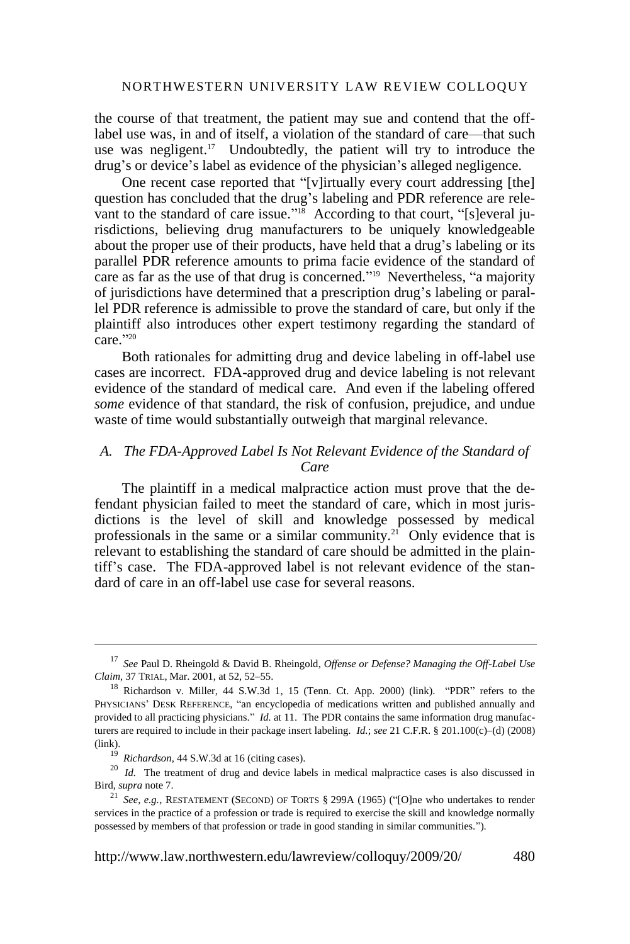the course of that treatment, the patient may sue and contend that the offlabel use was, in and of itself, a violation of the standard of care—that such use was negligent.<sup>17</sup> Undoubtedly, the patient will try to introduce the drug's or device's label as evidence of the physician's alleged negligence.

One recent case reported that "[v]irtually every court addressing [the] question has concluded that the drug's labeling and PDR reference are relevant to the standard of care issue."<sup>18</sup> According to that court, "[s]everal jurisdictions, believing drug manufacturers to be uniquely knowledgeable about the proper use of their products, have held that a drug's labeling or its parallel PDR reference amounts to prima facie evidence of the standard of care as far as the use of that drug is concerned."<sup>19</sup> Nevertheless, "a majority of jurisdictions have determined that a prescription drug's labeling or parallel PDR reference is admissible to prove the standard of care, but only if the plaintiff also introduces other expert testimony regarding the standard of care."20

<span id="page-3-0"></span>Both rationales for admitting drug and device labeling in off-label use cases are incorrect. FDA-approved drug and device labeling is not relevant evidence of the standard of medical care. And even if the labeling offered *some* evidence of that standard, the risk of confusion, prejudice, and undue waste of time would substantially outweigh that marginal relevance.

# *A. The FDA-Approved Label Is Not Relevant Evidence of the Standard of Care*

The plaintiff in a medical malpractice action must prove that the defendant physician failed to meet the standard of care, which in most jurisdictions is the level of skill and knowledge possessed by medical professionals in the same or a similar community.<sup>21</sup> Only evidence that is relevant to establishing the standard of care should be admitted in the plaintiff's case. The FDA-approved label is not relevant evidence of the standard of care in an off-label use case for several reasons.

<sup>17</sup> *See* Paul D. Rheingold & David B. Rheingold, *Offense or Defense? Managing the Off-Label Use Claim*, 37 TRIAL, Mar. 2001, at 52, 52–55.

 $18$  Richardson v. Miller, 44 S.W.3d 1, 15 (Tenn. Ct. App. 2000) [\(link\)](http://www.precydent.com/citation/44/S.W.3d/1). "PDR" refers to the PHYSICIANS' DESK REFERENCE, "an encyclopedia of medications written and published annually and provided to all practicing physicians." *Id.* at 11. The PDR contains the same information drug manufacturers are required to include in their package insert labeling. *Id.*; *see* 21 C.F.R. § 201.100(c)–(d) (2008) [\(link\)](http://edocket.access.gpo.gov/cfr_2008/aprqtr/pdf/21cfr201.100.pdf).

<sup>&</sup>lt;sup>19</sup> Richardson, 44 S.W.3d at 16 (citing cases).

<sup>&</sup>lt;sup>20</sup> *Id.* The treatment of drug and device labels in medical malpractice cases is also discussed in Bird, *supra* not[e 7.](#page-1-0)

<sup>&</sup>lt;sup>21</sup> *See, e.g.*, RESTATEMENT (SECOND) OF TORTS  $\S$  299A (1965) ("[O]ne who undertakes to render services in the practice of a profession or trade is required to exercise the skill and knowledge normally possessed by members of that profession or trade in good standing in similar communities.").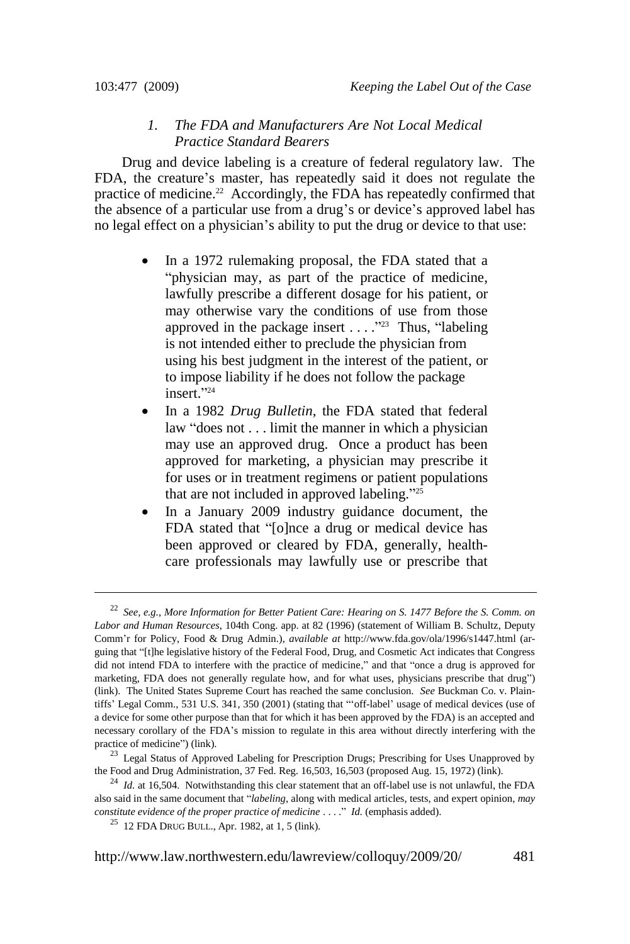# *1. The FDA and Manufacturers Are Not Local Medical Practice Standard Bearers*

Drug and device labeling is a creature of federal regulatory law. The FDA, the creature's master, has repeatedly said it does not regulate the practice of medicine.<sup>22</sup> Accordingly, the FDA has repeatedly confirmed that the absence of a particular use from a drug's or device's approved label has no legal effect on a physician's ability to put the drug or device to that use:

- In a 1972 rulemaking proposal, the FDA stated that a "physician may, as part of the practice of medicine, lawfully prescribe a different dosage for his patient, or may otherwise vary the conditions of use from those approved in the package insert  $\dots$   $\cdot$   $\cdot$   $\cdot$  Thus, "labeling is not intended either to preclude the physician from using his best judgment in the interest of the patient, or to impose liability if he does not follow the package insert."<sup>24</sup>
- In a 1982 *Drug Bulletin*, the FDA stated that federal law "does not  $\dots$  limit the manner in which a physician may use an approved drug. Once a product has been approved for marketing, a physician may prescribe it for uses or in treatment regimens or patient populations that are not included in approved labeling."<sup>25</sup>
- <span id="page-4-0"></span>• In a January 2009 industry guidance document, the FDA stated that "[o]nce a drug or medical device has been approved or cleared by FDA, generally, healthcare professionals may lawfully use or prescribe that

<sup>22</sup> *See, e.g.*, *More Information for Better Patient Care: Hearing on S. 1477 Before the S. Comm. on Labor and Human Resources*, 104th Cong. app. at 82 (1996) (statement of William B. Schultz, Deputy Comm'r for Policy, Food & Drug Admin.), *available at* http://www.fda.gov/ola/1996/s1447.html (arguing that "[t]he legislative history of the Federal Food, Drug, and Cosmetic Act indicates that Congress did not intend FDA to interfere with the practice of medicine," and that "once a drug is approved for marketing, FDA does not generally regulate how, and for what uses, physicians prescribe that drug") [\(link\)](http://www.fda.gov/ola/1996/s1447.html). The United States Supreme Court has reached the same conclusion. *See* Buckman Co. v. Plaintiffs' Legal Comm., 531 U.S. 341, 350 (2001) (stating that "off-label' usage of medical devices (use of a device for some other purpose than that for which it has been approved by the FDA) is an accepted and necessary corollary of the FDA's mission to regulate in this area without directly interfering with the practice of medicine") [\(link\)](http://supreme.justia.com/us/531/341/case.html).

<sup>&</sup>lt;sup>23</sup> Legal Status of Approved Labeling for Prescription Drugs; Prescribing for Uses Unapproved by the Food and Drug Administration, 37 Fed. Reg. 16,503, 16,503 (proposed Aug. 15, 1972) [\(link\)](http://www.pubmedcentral.nih.gov/pagerender.fcgi?artid=1518763&pageindex=1).

<sup>&</sup>lt;sup>24</sup> *Id.* at 16,504. Notwithstanding this clear statement that an off-label use is not unlawful, the FDA also said in the same document that "*labeling*, along with medical articles, tests, and expert opinion, *may constitute evidence of the proper practice of medicine* ...." *Id.* (emphasis added).

 $^{25}$  12 FDA DRUG BULL., Apr. 1982, at 1, 5 [\(link\)](http://www.bioethicswatch.org/pubs/FDA_MedBull.pdf).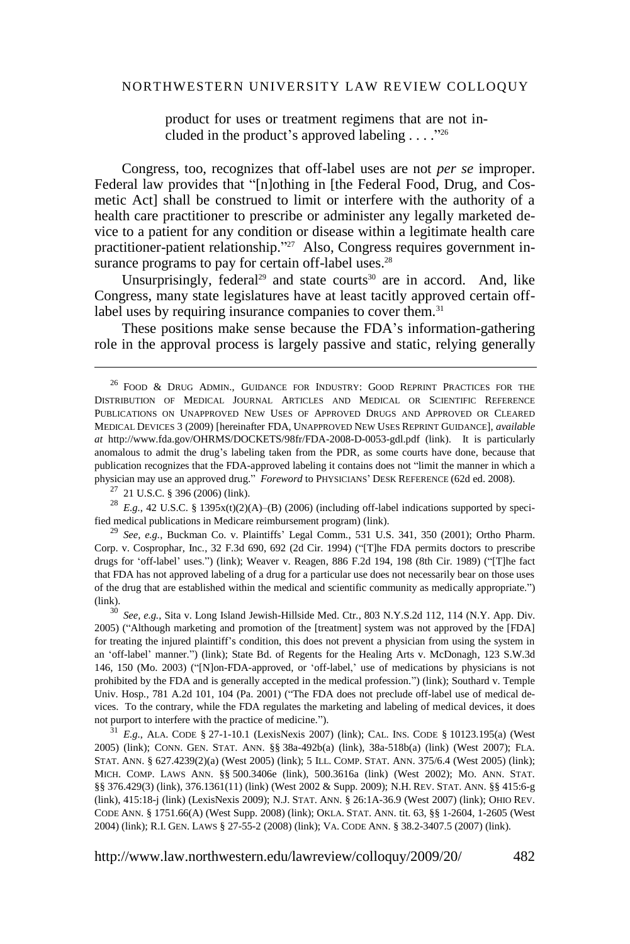<span id="page-5-0"></span>product for uses or treatment regimens that are not included in the product's approved labeling  $\dots$ ."<sup>26</sup>

Congress, too, recognizes that off-label uses are not *per se* improper. Federal law provides that "[n]othing in [the Federal Food, Drug, and Cosmetic Act] shall be construed to limit or interfere with the authority of a health care practitioner to prescribe or administer any legally marketed device to a patient for any condition or disease within a legitimate health care practitioner-patient relationship."<sup>27</sup> Also, Congress requires government insurance programs to pay for certain off-label uses.<sup>28</sup>

Unsurprisingly, federal<sup>29</sup> and state courts<sup>30</sup> are in accord. And, like Congress, many state legislatures have at least tacitly approved certain offlabel uses by requiring insurance companies to cover them.<sup>31</sup>

These positions make sense because the FDA's information-gathering role in the approval process is largely passive and static, relying generally

<sup>28</sup> E.g., 42 U.S.C. § 1395x(t)(2)(A)–(B) (2006) (including off-label indications supported by specified medical publications in Medicare reimbursement program) [\(link\)](http://www4.law.cornell.edu/uscode/html/uscode42/usc_sec_42_00001395---x000-.html).

29 *See, e.g.*, Buckman Co. v. Plaintiffs' Legal Comm*.*, 531 U.S. 341, 350 (2001); Ortho Pharm. Corp. v. Cosprophar, Inc., 32 F.3d 690, 692 (2d Cir. 1994) ("[T]he FDA permits doctors to prescribe drugs for 'off-label' uses.") [\(link\)](http://cases.justia.com/us-court-of-appeals/F3/32/690/633881/); Weaver v. Reagen, 886 F.2d 194, 198 (8th Cir. 1989) ("[T]he fact that FDA has not approved labeling of a drug for a particular use does not necessarily bear on those uses of the drug that are established within the medical and scientific community as medically appropriate.‖) [\(link\)](http://bulk.resource.org/courts.gov/c/F2/886/886.F2d.194.88-2560.html).

30 *See, e.g.*, Sita v. Long Island Jewish-Hillside Med. Ctr*.*, 803 N.Y.S.2d 112, 114 (N.Y. App. Div. 2005) ("Although marketing and promotion of the [treatment] system was not approved by the [FDA] for treating the injured plaintiff's condition, this does not prevent a physician from using the system in an 'off-label' manner.") [\(link\)](http://www.nycourts.gov/decisions/index.shtml); State Bd. of Regents for the Healing Arts v. McDonagh, 123 S.W.3d 146, 150 (Mo. 2003) ("[N]on-FDA-approved, or 'off-label,' use of medications by physicians is not prohibited by the FDA and is generally accepted in the medical profession.‖) [\(link\)](http://www2.nkfust.edu.tw/~chairman/law/class1/paper/4-State%20Bd.%20of%20Registration%20for%20Healing%20Arts%20v.%20McDonagh.doc); Southard v. Temple Univ. Hosp., 781 A.2d 101, 104 (Pa. 2001) ("The FDA does not preclude off-label use of medical devices. To the contrary, while the FDA regulates the marketing and labeling of medical devices, it does not purport to interfere with the practice of medicine.").

31 *E.g.*, ALA. CODE § 27-1-10.1 (LexisNexis 2007) [\(link\)](http://law.onecle.com/alabama/insurance/27-1-10.1.html); CAL. INS. CODE § 10123.195(a) (West 2005) [\(link\)](http://www.leginfo.ca.gov/cgi-bin/displaycode?section=ins&group=10001-11000&file=10110-10127.18); CONN. GEN. STAT. ANN. §§ 38a-492b(a) [\(link\)](http://www.cga.ct.gov/2005/pub/Chap700c.htm#Sec38a-492b.htm), 38a-518b(a) [\(link\)](http://www.cga.ct.gov/2005/pub/Chap700c.htm#Sec38a-518b.htm) (West 2007); FLA. STAT. ANN. § 627.4239(2)(a) (West 2005) [\(link\)](http://www.flsenate.gov/Statutes/index.cfm?App_mode=Display_Statute&Search_String=&URL=Ch0627/SEC4239.HTM&Title=-%253E2008-%253ECh0627-%253ESection%204239#0627.4239); 5 ILL. COMP. STAT. ANN. 375/6.4 (West 2005) [\(link\)](http://www.ilga.gov/legislation/ilcs/ilcs3.asp?ActID=120&ChapAct=5%26nbsp%3BILCS%26nbsp%3B375%2F&ChapterID=2&ChapterName=GENERAL+PROVISIONS&ActName=State+Employees+Group+Insurance+Act+of+1971.); MICH. COMP. LAWS ANN. §§ 500.3406e [\(link\)](http://law.justia.com/michigan/codes/mcl-chap500/mcl-500-3406e.html), 500.3616a [\(link\)](http://law.justia.com/michigan/codes/mcl-chap500/mcl-500-3616a.html) (West 2002); MO. ANN. STAT. §§ 376.429(3) [\(link\)](http://www.moga.mo.gov/statutes/c300-399/3760000429.htm), 376.1361(11) [\(link\)](http://www.moga.mo.gov/statutes/C300-399/3760001361.htm) (West 2002 & Supp. 2009); N.H. REV. STAT. ANN. §§ 415:6-g [\(link\)](http://gencourt.state.nh.us/rsa/html/XXXVII/415/415-6-g.htm), 415:18-j [\(link\)](http://gencourt.state.nh.us/rsa/html/XXXVII/415/415-18-j.htm) (LexisNexis 2009); N.J. STAT. ANN. § 26:1A-36.9 (West 2007) [\(link\)](http://lis.njleg.state.nj.us/cgi-bin/om_isapi.dll?clientID=184415&Depth=2&depth=2&expandheadings=on&headingswithhits=on&hitsperheading=on&infobase=statutes.nfo&record=%7B9D94%7D&softpage=Doc_Frame_PG42); OHIO REV. CODE ANN. § 1751.66(A) (West Supp. 2008) [\(link\)](http://codes.ohio.gov/orc/1751.66); OKLA. STAT. ANN. tit. 63, §§ 1-2604, 1-2605 (West 2004) [\(link\)](http://www.lsb.state.ok.us/); R.I. GEN. LAWS § 27-55-2 (2008) [\(link\)](http://www.rilin.state.ri.us/Statutes/TITLE27/27-55/27-55-2.htm); VA. CODE ANN. § 38.2-3407.5 (2007) [\(link\)](http://law.justia.com/virginia/codes/toc3802000/38.2-3407.5.html).

<sup>&</sup>lt;sup>26</sup> FOOD & DRUG ADMIN., GUIDANCE FOR INDUSTRY: GOOD REPRINT PRACTICES FOR THE DISTRIBUTION OF MEDICAL JOURNAL ARTICLES AND MEDICAL OR SCIENTIFIC REFERENCE PUBLICATIONS ON UNAPPROVED NEW USES OF APPROVED DRUGS AND APPROVED OR CLEARED MEDICAL DEVICES 3 (2009) [hereinafter FDA, UNAPPROVED NEW USES REPRINT GUIDANCE], *available at* http://www.fda.gov/OHRMS/DOCKETS/98fr/FDA-2008-D-0053-gdl.pdf [\(link\)](http://www.fda.gov/OHRMS/DOCKETS/98fr/FDA-2008-D-0053-gdl.pdf). It is particularly anomalous to admit the drug's labeling taken from the PDR, as some courts have done, because that publication recognizes that the FDA-approved labeling it contains does not "limit the manner in which a physician may use an approved drug." *Foreword* to PHYSICIANS' DESK REFERENCE (62d ed. 2008).

 $27$  21 U.S.C. § 396 (2006) [\(link\)](http://www4.law.cornell.edu/uscode/html/uscode21/usc_sec_21_00000396----000-.html).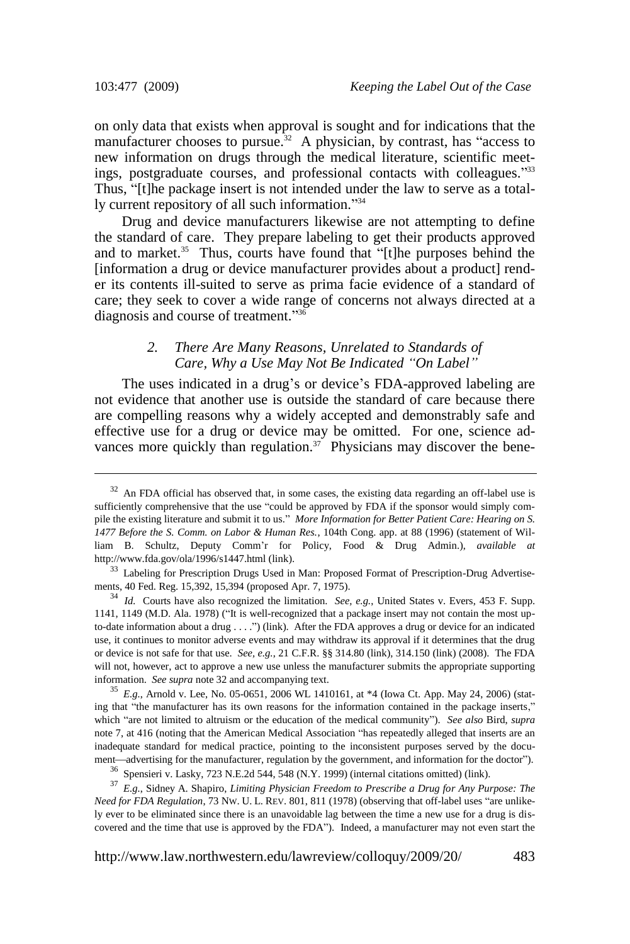on only data that exists when approval is sought and for indications that the manufacturer chooses to pursue.<sup>32</sup> A physician, by contrast, has "access to new information on drugs through the medical literature, scientific meetings, postgraduate courses, and professional contacts with colleagues."33 Thus, "[t]he package insert is not intended under the law to serve as a totally current repository of all such information."34

Drug and device manufacturers likewise are not attempting to define the standard of care. They prepare labeling to get their products approved and to market.<sup>35</sup> Thus, courts have found that "[t]he purposes behind the [information a drug or device manufacturer provides about a product] render its contents ill-suited to serve as prima facie evidence of a standard of care; they seek to cover a wide range of concerns not always directed at a diagnosis and course of treatment."36

# <span id="page-6-0"></span>*2. There Are Many Reasons, Unrelated to Standards of Care, Why a Use May Not Be Indicated "On Label"*

The uses indicated in a drug's or device's FDA-approved labeling are not evidence that another use is outside the standard of care because there are compelling reasons why a widely accepted and demonstrably safe and effective use for a drug or device may be omitted. For one, science advances more quickly than regulation.<sup>37</sup> Physicians may discover the bene-

35 *E.g.*, Arnold v. Lee, No. 05-0651, 2006 WL 1410161, at \*4 (Iowa Ct. App. May 24, 2006) (stating that "the manufacturer has its own reasons for the information contained in the package inserts," which "are not limited to altruism or the education of the medical community"). *See also* Bird, *supra* note [7,](#page-1-0) at 416 (noting that the American Medical Association "has repeatedly alleged that inserts are an inadequate standard for medical practice, pointing to the inconsistent purposes served by the document—advertising for the manufacturer, regulation by the government, and information for the doctor").

 $32$  An FDA official has observed that, in some cases, the existing data regarding an off-label use is sufficiently comprehensive that the use "could be approved by FDA if the sponsor would simply compile the existing literature and submit it to us.‖ *More Information for Better Patient Care: Hearing on S. 1477 Before the S. Comm. on Labor & Human Res.*, 104th Cong. app. at 88 (1996) (statement of William B. Schultz, Deputy Comm'r for Policy, Food & Drug Admin.), *available at* http://www.fda.gov/ola/1996/s1447.html [\(link\)](http://www.fda.gov/ola/1996/s1447.html).

<sup>&</sup>lt;sup>33</sup> Labeling for Prescription Drugs Used in Man: Proposed Format of Prescription-Drug Advertisements, 40 Fed. Reg. 15,392, 15,394 (proposed Apr. 7, 1975).

<sup>34</sup> *Id.* Courts have also recognized the limitation. *See, e.g.*, United States v. Evers, 453 F. Supp. 1141, 1149 (M.D. Ala. 1978) ("It is well-recognized that a package insert may not contain the most up-to-date information about a drug . . . .") [\(link\)](http://www.circare.org/foia2/evers.pdf). After the FDA approves a drug or device for an indicated use, it continues to monitor adverse events and may withdraw its approval if it determines that the drug or device is not safe for that use. *See, e.g.*, 21 C.F.R. §§ 314.80 [\(link\)](http://edocket.access.gpo.gov/cfr_2008/aprqtr/pdf/21cfr314.80.pdf), 314.150 [\(link\)](http://edocket.access.gpo.gov/cfr_2008/aprqtr/pdf/21cfr314.150.pdf) (2008). The FDA will not, however, act to approve a new use unless the manufacturer submits the appropriate supporting information. *See supra* note 32 and accompanying text.

<sup>36</sup> Spensieri v. Lasky, 723 N.E.2d 544, 548 (N.Y. 1999) (internal citations omitted) [\(link\)](http://www.nycourts.gov/decisions/index.shtml).

<sup>37</sup> *E.g.*, Sidney A. Shapiro, *Limiting Physician Freedom to Prescribe a Drug for Any Purpose: The Need for FDA Regulation*, 73 NW. U. L. REV. 801, 811 (1978) (observing that off-label uses "are unlikely ever to be eliminated since there is an unavoidable lag between the time a new use for a drug is discovered and the time that use is approved by the FDA"). Indeed, a manufacturer may not even start the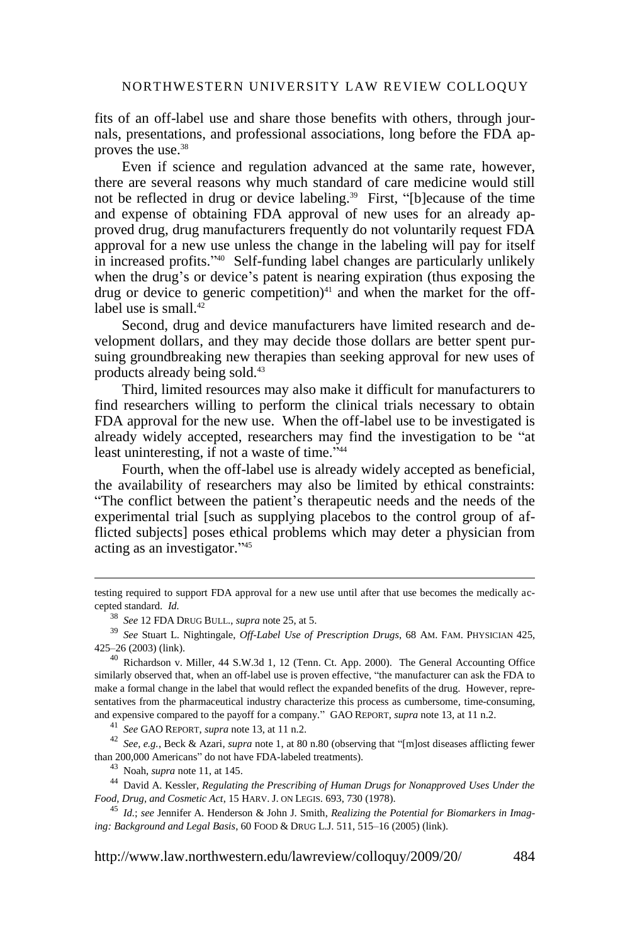fits of an off-label use and share those benefits with others, through journals, presentations, and professional associations, long before the FDA approves the use.<sup>38</sup>

Even if science and regulation advanced at the same rate, however, there are several reasons why much standard of care medicine would still not be reflected in drug or device labeling.<sup>39</sup> First, "[b] ecause of the time and expense of obtaining FDA approval of new uses for an already approved drug, drug manufacturers frequently do not voluntarily request FDA approval for a new use unless the change in the labeling will pay for itself in increased profits."<sup>40</sup> Self-funding label changes are particularly unlikely when the drug's or device's patent is nearing expiration (thus exposing the drug or device to generic competition) $41$  and when the market for the offlabel use is small. $42$ 

Second, drug and device manufacturers have limited research and development dollars, and they may decide those dollars are better spent pursuing groundbreaking new therapies than seeking approval for new uses of products already being sold.<sup>43</sup>

Third, limited resources may also make it difficult for manufacturers to find researchers willing to perform the clinical trials necessary to obtain FDA approval for the new use. When the off-label use to be investigated is already widely accepted, researchers may find the investigation to be "at least uninteresting, if not a waste of time."<sup>44</sup>

<span id="page-7-1"></span>Fourth, when the off-label use is already widely accepted as beneficial, the availability of researchers may also be limited by ethical constraints: ―The conflict between the patient's therapeutic needs and the needs of the experimental trial [such as supplying placebos to the control group of afflicted subjects] poses ethical problems which may deter a physician from acting as an investigator."<sup>45</sup>

41 *See* GAO REPORT, *supra* not[e 13,](#page-2-1) at 11 n.2.

<sup>42</sup> See, e.g., Beck & Azari, *supra* not[e 1,](#page-0-0) at 80 n.80 (observing that "[m]ost diseases afflicting fewer than 200,000 Americans" do not have FDA-labeled treatments).

43 Noah, *supra* not[e 11,](#page-2-0) at 145.

<span id="page-7-0"></span> $\overline{\phantom{a}}$ 

44 David A. Kessler, *Regulating the Prescribing of Human Drugs for Nonapproved Uses Under the Food, Drug, and Cosmetic Act*, 15 HARV. J. ON LEGIS. 693, 730 (1978).

45 *Id.*; *see* Jennifer A. Henderson & John J. Smith, *Realizing the Potential for Biomarkers in Imaging: Background and Legal Basis*, 60 FOOD & DRUG L.J. 511, 515–16 (2005) [\(link\)](http://radiology.rsnajnls.org/cgi/content/full/227/3/633).

testing required to support FDA approval for a new use until after that use becomes the medically accepted standard. *Id.* 

<sup>38</sup> *See* 12 FDA DRUG BULL., *supra* note [25,](#page-4-0) at 5.

<sup>39</sup> *See* Stuart L. Nightingale, *Off-Label Use of Prescription Drugs*, 68 AM. FAM. PHYSICIAN 425, 425–26 (2003) [\(link\)](http://www.aafp.org/aft/20030801/editorials.html).

<sup>40</sup> Richardson v. Miller, 44 S.W.3d 1, 12 (Tenn. Ct. App. 2000). The General Accounting Office similarly observed that, when an off-label use is proven effective, "the manufacturer can ask the FDA to make a formal change in the label that would reflect the expanded benefits of the drug. However, representatives from the pharmaceutical industry characterize this process as cumbersome, time-consuming, and expensive compared to the payoff for a company." GAO REPORT, *supra* not[e 13,](#page-2-1) at 11 n.2.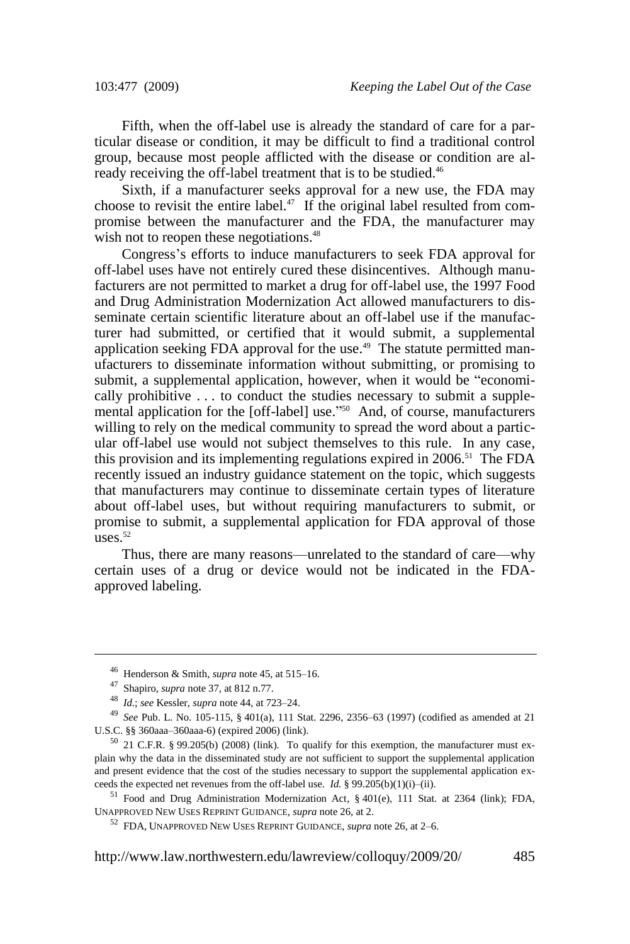Fifth, when the off-label use is already the standard of care for a particular disease or condition, it may be difficult to find a traditional control group, because most people afflicted with the disease or condition are already receiving the off-label treatment that is to be studied.<sup>46</sup>

Sixth, if a manufacturer seeks approval for a new use, the FDA may choose to revisit the entire label. $47$  If the original label resulted from compromise between the manufacturer and the FDA, the manufacturer may wish not to reopen these negotiations.<sup>48</sup>

Congress's efforts to induce manufacturers to seek FDA approval for off-label uses have not entirely cured these disincentives. Although manufacturers are not permitted to market a drug for off-label use, the 1997 Food and Drug Administration Modernization Act allowed manufacturers to disseminate certain scientific literature about an off-label use if the manufacturer had submitted, or certified that it would submit, a supplemental application seeking FDA approval for the use.<sup>49</sup> The statute permitted manufacturers to disseminate information without submitting, or promising to submit, a supplemental application, however, when it would be "economically prohibitive . . . to conduct the studies necessary to submit a supplemental application for the [off-label] use.<sup> $250$ </sup> And, of course, manufacturers willing to rely on the medical community to spread the word about a particular off-label use would not subject themselves to this rule. In any case, this provision and its implementing regulations expired in  $2006$ <sup>51</sup> The FDA recently issued an industry guidance statement on the topic, which suggests that manufacturers may continue to disseminate certain types of literature about off-label uses, but without requiring manufacturers to submit, or promise to submit, a supplemental application for FDA approval of those  $\arcsin 52$ 

Thus, there are many reasons—unrelated to the standard of care—why certain uses of a drug or device would not be indicated in the FDAapproved labeling.

<sup>46</sup> Henderson & Smith, *supra* not[e 45,](#page-7-0) at 515–16.

<sup>47</sup> Shapiro, *supra* not[e 37,](#page-6-0) at 812 n.77.

<sup>48</sup> *Id.*; *see* Kessler, *supra* not[e 44,](#page-7-1) at 723–24.

<sup>49</sup> *See* Pub. L. No. 105-115, § 401(a), 111 Stat. 2296, 2356–63 (1997) (codified as amended at 21 U.S.C. §§ 360aaa–360aaa-6) (expired 2006) [\(link\)](http://www.fda.gov/CDER/guidance/105-115.htm#SEC.%20401).

 $50$  21 C.F.R. § 99.205(b) (2008) [\(link\)](http://edocket.access.gpo.gov/cfr_2008/aprqtr/pdf/21cfr99.205.pdf). To qualify for this exemption, the manufacturer must explain why the data in the disseminated study are not sufficient to support the supplemental application and present evidence that the cost of the studies necessary to support the supplemental application exceeds the expected net revenues from the off-label use. *Id.* § 99.205(b)(1)(i)–(ii).

<sup>&</sup>lt;sup>51</sup> Food and Drug Administration Modernization Act, § 401(e), 111 Stat. at 2364 [\(link\)](http://www.fda.gov/CDER/guidance/105-115.htm#SEC.%20401); FDA, UNAPPROVED NEW USES REPRINT GUIDANCE, *supra* not[e 26,](#page-5-0) at 2.

<sup>52</sup> FDA, UNAPPROVED NEW USES REPRINT GUIDANCE, *supra* not[e 26,](#page-5-0) at 2–6.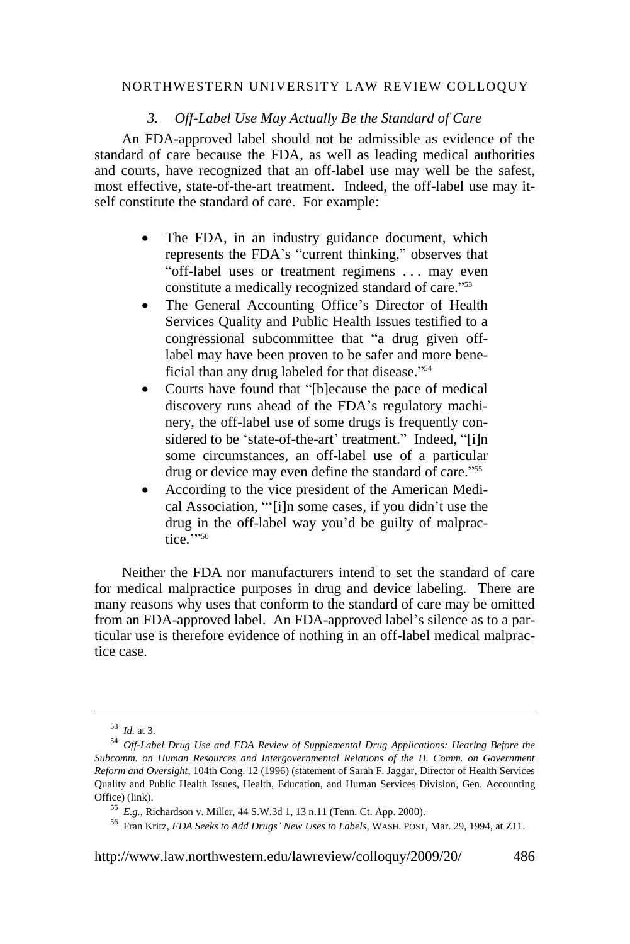# *3. Off-Label Use May Actually Be the Standard of Care*

An FDA-approved label should not be admissible as evidence of the standard of care because the FDA, as well as leading medical authorities and courts, have recognized that an off-label use may well be the safest, most effective, state-of-the-art treatment. Indeed, the off-label use may itself constitute the standard of care. For example:

- The FDA, in an industry guidance document, which represents the FDA's "current thinking," observes that "off-label uses or treatment regimens . . . may even constitute a medically recognized standard of care."<sup>53</sup>
- The General Accounting Office's Director of Health Services Quality and Public Health Issues testified to a congressional subcommittee that "a drug given offlabel may have been proven to be safer and more beneficial than any drug labeled for that disease."<sup>54</sup>
- Courts have found that "[b]ecause the pace of medical discovery runs ahead of the FDA's regulatory machinery, the off-label use of some drugs is frequently considered to be 'state-of-the-art' treatment." Indeed, "[i]n some circumstances, an off-label use of a particular drug or device may even define the standard of care."<sup>55</sup>
- According to the vice president of the American Medical Association, "'[i]n some cases, if you didn't use the drug in the off-label way you'd be guilty of malpractice.''<sup>56</sup>

Neither the FDA nor manufacturers intend to set the standard of care for medical malpractice purposes in drug and device labeling. There are many reasons why uses that conform to the standard of care may be omitted from an FDA-approved label. An FDA-approved label's silence as to a particular use is therefore evidence of nothing in an off-label medical malpractice case.

<sup>53</sup> *Id.* at 3.

<sup>54</sup> *Off-Label Drug Use and FDA Review of Supplemental Drug Applications: Hearing Before the Subcomm. on Human Resources and Intergovernmental Relations of the H. Comm. on Government Reform and Oversight*, 104th Cong. 12 (1996) (statement of Sarah F. Jaggar, Director of Health Services Quality and Public Health Issues, Health, Education, and Human Services Division, Gen. Accounting Office) [\(link\)](http://www.access.gpo.gov/congress/house/pdf/104hrg/44757.pdf).

<sup>55</sup> *E.g.*, Richardson v. Miller, 44 S.W.3d 1, 13 n.11 (Tenn. Ct. App. 2000).

<sup>56</sup> Fran Kritz, *FDA Seeks to Add Drugs' New Uses to Labels*, WASH. POST, Mar. 29, 1994, at Z11.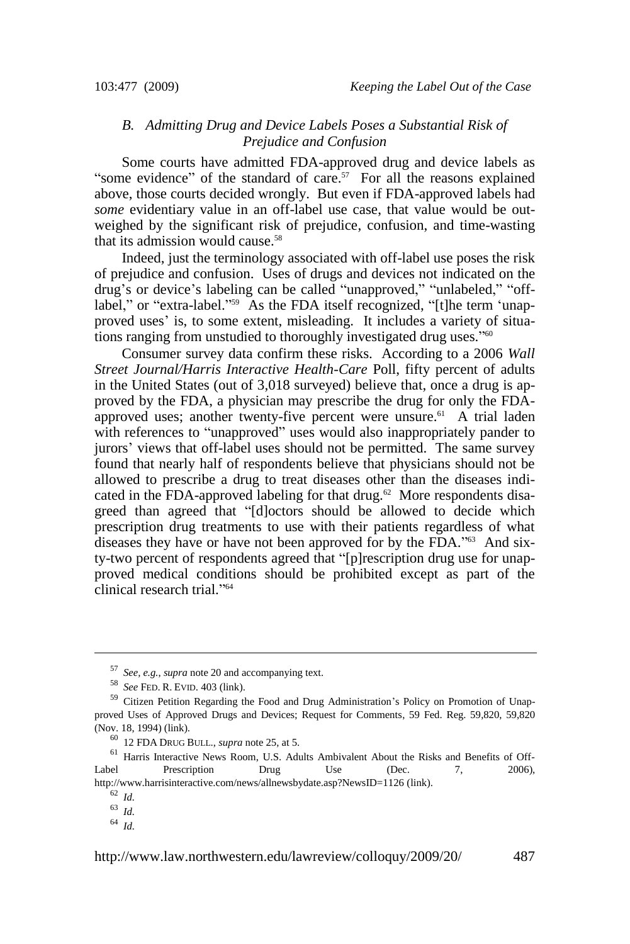# *B. Admitting Drug and Device Labels Poses a Substantial Risk of Prejudice and Confusion*

Some courts have admitted FDA-approved drug and device labels as "some evidence" of the standard of care.<sup>57</sup> For all the reasons explained above, those courts decided wrongly. But even if FDA-approved labels had *some* evidentiary value in an off-label use case, that value would be outweighed by the significant risk of prejudice, confusion, and time-wasting that its admission would cause.<sup>58</sup>

Indeed, just the terminology associated with off-label use poses the risk of prejudice and confusion. Uses of drugs and devices not indicated on the drug's or device's labeling can be called "unapproved," "unlabeled," "offlabel," or "extra-label."<sup>559</sup> As the FDA itself recognized, "[t]he term 'unapproved uses' is, to some extent, misleading. It includes a variety of situations ranging from unstudied to thoroughly investigated drug uses."<sup>60</sup>

Consumer survey data confirm these risks. According to a 2006 *Wall Street Journal/Harris Interactive Health-Care* Poll, fifty percent of adults in the United States (out of 3,018 surveyed) believe that, once a drug is approved by the FDA, a physician may prescribe the drug for only the FDAapproved uses; another twenty-five percent were unsure.<sup>61</sup> A trial laden with references to "unapproved" uses would also inappropriately pander to jurors' views that off-label uses should not be permitted. The same survey found that nearly half of respondents believe that physicians should not be allowed to prescribe a drug to treat diseases other than the diseases indicated in the FDA-approved labeling for that drug. $62$  More respondents disagreed than agreed that "[d]octors should be allowed to decide which prescription drug treatments to use with their patients regardless of what diseases they have or have not been approved for by the FDA.<sup>763</sup> And sixty-two percent of respondents agreed that "[p]rescription drug use for unapproved medical conditions should be prohibited except as part of the clinical research trial."<sup>64</sup>

<sup>57</sup> *See, e.g.*, *supra* not[e 20](#page-3-0) and accompanying text.

<sup>58</sup> *See* FED. R. EVID. 403 [\(link\)](http://www.law.cornell.edu/rules/fre/rules.htm#Rule403).

<sup>&</sup>lt;sup>59</sup> Citizen Petition Regarding the Food and Drug Administration's Policy on Promotion of Unapproved Uses of Approved Drugs and Devices; Request for Comments, 59 Fed. Reg. 59,820, 59,820 (Nov. 18, 1994) [\(link\)](http://frwebgate1.access.gpo.gov/cgi-bin/TEXTgate.cgi?WAISdocID=199077235469+0+1+0&WAISaction=retrieve).

<sup>60</sup> 12 FDA DRUG BULL., *supra* not[e 25,](#page-4-0) at 5.

<sup>&</sup>lt;sup>61</sup> Harris Interactive News Room, U.S. Adults Ambivalent About the Risks and Benefits of Off-Label Prescription Drug Use (Dec. 7, 2006), http://www.harrisinteractive.com/news/allnewsbydate.asp?NewsID=1126 [\(link\)](http://www.harrisinteractive.com/news/allnewsbydate.asp?NewsID=1126).

<sup>62</sup> *Id.*

<sup>63</sup> *Id.*

<sup>64</sup> *Id.*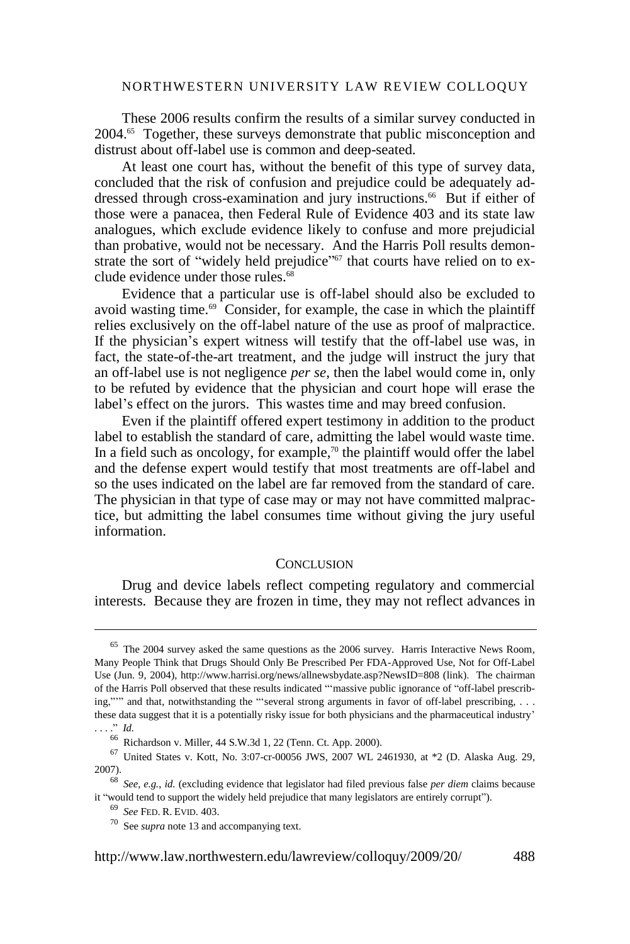These 2006 results confirm the results of a similar survey conducted in 2004.<sup>65</sup> Together, these surveys demonstrate that public misconception and distrust about off-label use is common and deep-seated.

At least one court has, without the benefit of this type of survey data, concluded that the risk of confusion and prejudice could be adequately addressed through cross-examination and jury instructions.<sup>66</sup> But if either of those were a panacea, then Federal Rule of Evidence 403 and its state law analogues, which exclude evidence likely to confuse and more prejudicial than probative, would not be necessary. And the Harris Poll results demonstrate the sort of "widely held prejudice"<sup>67</sup> that courts have relied on to exclude evidence under those rules.<sup>68</sup>

Evidence that a particular use is off-label should also be excluded to avoid wasting time.<sup>69</sup> Consider, for example, the case in which the plaintiff relies exclusively on the off-label nature of the use as proof of malpractice. If the physician's expert witness will testify that the off-label use was, in fact, the state-of-the-art treatment, and the judge will instruct the jury that an off-label use is not negligence *per se*, then the label would come in, only to be refuted by evidence that the physician and court hope will erase the label's effect on the jurors. This wastes time and may breed confusion.

Even if the plaintiff offered expert testimony in addition to the product label to establish the standard of care, admitting the label would waste time. In a field such as oncology, for example, <sup>70</sup> the plaintiff would offer the label and the defense expert would testify that most treatments are off-label and so the uses indicated on the label are far removed from the standard of care. The physician in that type of case may or may not have committed malpractice, but admitting the label consumes time without giving the jury useful information.

#### **CONCLUSION**

Drug and device labels reflect competing regulatory and commercial interests. Because they are frozen in time, they may not reflect advances in

 $65$  The 2004 survey asked the same questions as the 2006 survey. Harris Interactive News Room, Many People Think that Drugs Should Only Be Prescribed Per FDA-Approved Use, Not for Off-Label Use (Jun. 9, 2004), http://www.harrisi.org/news/allnewsbydate.asp?NewsID=808 [\(link\)](http://www.harrisi.org/news/allnewsbydate.asp?NewsID=808). The chairman of the Harris Poll observed that these results indicated "massive public ignorance of "off-label prescribing,""" and that, notwithstanding the "several strong arguments in favor of off-label prescribing, . . . these data suggest that it is a potentially risky issue for both physicians and the pharmaceutical industry' . . . . *d.* 

<sup>66</sup> Richardson v. Miller, 44 S.W.3d 1, 22 (Tenn. Ct. App. 2000).

 $^{67}$  United States v. Kott, No. 3:07-cr-00056 JWS, 2007 WL 2461930, at  $*2$  (D. Alaska Aug. 29, 2007).

<sup>68</sup> *See, e.g.*, *id.* (excluding evidence that legislator had filed previous false *per diem* claims because it "would tend to support the widely held prejudice that many legislators are entirely corrupt").

<sup>69</sup> *See* FED. R. EVID. 403.

<sup>70</sup> See *supra* not[e 13](#page-2-1) and accompanying text.